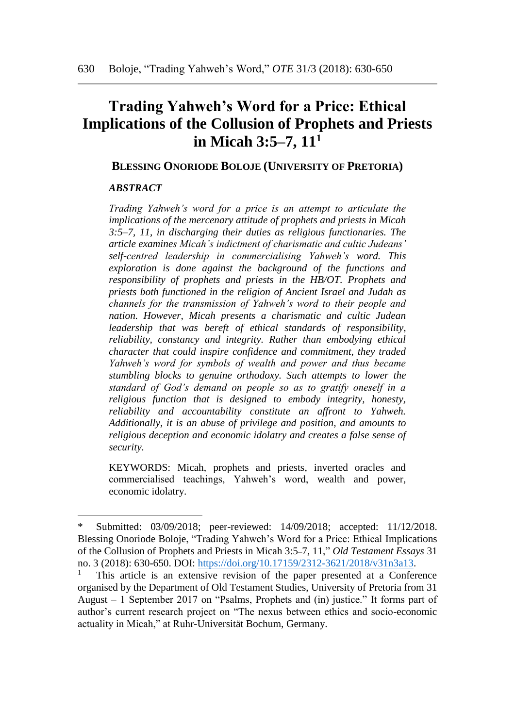# **Trading Yahweh's Word for a Price: Ethical Implications of the Collusion of Prophets and Priests in Micah 3:5–7, 11<sup>1</sup>**

#### **BLESSING ONORIODE BOLOJE (UNIVERSITY OF PRETORIA)**

#### *ABSTRACT*

 $\overline{a}$ 

*Trading Yahweh's word for a price is an attempt to articulate the implications of the mercenary attitude of prophets and priests in Micah 3:5–7, 11, in discharging their duties as religious functionaries. The article examines Micah's indictment of charismatic and cultic Judeans' self-centred leadership in commercialising Yahweh's word. This exploration is done against the background of the functions and responsibility of prophets and priests in the HB/OT. Prophets and priests both functioned in the religion of Ancient Israel and Judah as channels for the transmission of Yahweh's word to their people and nation. However, Micah presents a charismatic and cultic Judean leadership that was bereft of ethical standards of responsibility, reliability, constancy and integrity. Rather than embodying ethical character that could inspire confidence and commitment, they traded Yahweh's word for symbols of wealth and power and thus became stumbling blocks to genuine orthodoxy. Such attempts to lower the standard of God's demand on people so as to gratify oneself in a religious function that is designed to embody integrity, honesty, reliability and accountability constitute an affront to Yahweh. Additionally, it is an abuse of privilege and position, and amounts to religious deception and economic idolatry and creates a false sense of security.* 

KEYWORDS: Micah, prophets and priests, inverted oracles and commercialised teachings, Yahweh's word, wealth and power, economic idolatry.

Submitted: 03/09/2018; peer-reviewed: 14/09/2018; accepted: 11/12/2018. Blessing Onoriode Boloje, "Trading Yahweh's Word for a Price: Ethical Implications of the Collusion of Prophets and Priests in Micah 3:5–7, 11," *Old Testament Essays* 31 no. 3 (2018): 630-650. DOI: [https://doi.org/10.17159/2312-3621/2018/v31n3a13.](https://doi.org/10.17159/2312-3621/2018/v31n3a13)

<sup>1</sup> This article is an extensive revision of the paper presented at a Conference organised by the Department of Old Testament Studies, University of Pretoria from 31 August – 1 September 2017 on "Psalms, Prophets and (in) justice." It forms part of author's current research project on "The nexus between ethics and socio-economic actuality in Micah," at Ruhr-Universität Bochum, Germany.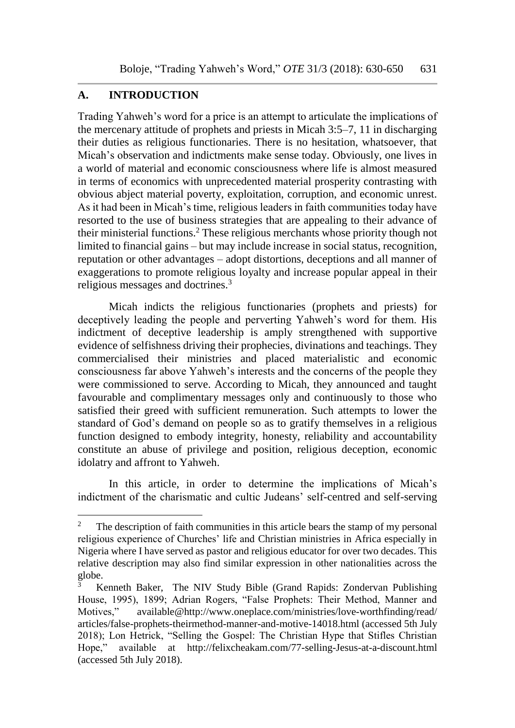### **A. INTRODUCTION**

 $\overline{a}$ 

Trading Yahweh's word for a price is an attempt to articulate the implications of the mercenary attitude of prophets and priests in Micah 3:5–7, 11 in discharging their duties as religious functionaries. There is no hesitation, whatsoever, that Micah's observation and indictments make sense today. Obviously, one lives in a world of material and economic consciousness where life is almost measured in terms of economics with unprecedented material prosperity contrasting with obvious abject material poverty, exploitation, corruption, and economic unrest. As it had been in Micah's time, religious leaders in faith communities today have resorted to the use of business strategies that are appealing to their advance of their ministerial functions.<sup>2</sup> These religious merchants whose priority though not limited to financial gains – but may include increase in social status, recognition, reputation or other advantages – adopt distortions, deceptions and all manner of exaggerations to promote religious loyalty and increase popular appeal in their religious messages and doctrines.<sup>3</sup>

Micah indicts the religious functionaries (prophets and priests) for deceptively leading the people and perverting Yahweh's word for them. His indictment of deceptive leadership is amply strengthened with supportive evidence of selfishness driving their prophecies, divinations and teachings. They commercialised their ministries and placed materialistic and economic consciousness far above Yahweh's interests and the concerns of the people they were commissioned to serve. According to Micah, they announced and taught favourable and complimentary messages only and continuously to those who satisfied their greed with sufficient remuneration. Such attempts to lower the standard of God's demand on people so as to gratify themselves in a religious function designed to embody integrity, honesty, reliability and accountability constitute an abuse of privilege and position, religious deception, economic idolatry and affront to Yahweh.

In this article, in order to determine the implications of Micah's indictment of the charismatic and cultic Judeans' self-centred and self-serving

<sup>&</sup>lt;sup>2</sup> The description of faith communities in this article bears the stamp of my personal religious experience of Churches' life and Christian ministries in Africa especially in Nigeria where I have served as pastor and religious educator for over two decades. This relative description may also find similar expression in other nationalities across the globe.

<sup>3</sup> Kenneth Baker, The NIV Study Bible (Grand Rapids: Zondervan Publishing House, 1995), 1899; Adrian Rogers, "False Prophets: Their Method, Manner and Motives," [available@http://www.oneplace.com/ministries/love-worthf](mailto:available@http://www.oneplace.com/ministries/love-worth)inding/read/ articles/false-prophets-theirmethod-manner-and-motive-14018.html (accessed 5th July 2018); Lon Hetrick, "Selling the Gospel: The Christian Hype that Stifles Christian Hope," available at http://felixcheakam.com/77-selling-Jesus-at-a-discount.html (accessed 5th July 2018).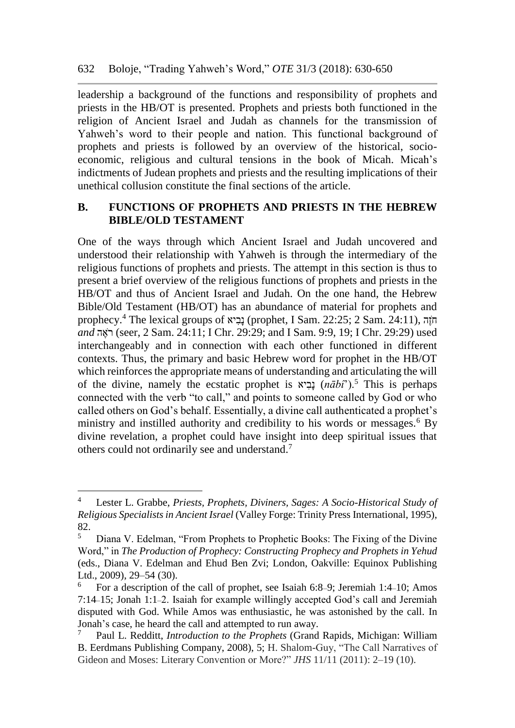leadership a background of the functions and responsibility of prophets and priests in the HB/OT is presented. Prophets and priests both functioned in the religion of Ancient Israel and Judah as channels for the transmission of Yahweh's word to their people and nation. This functional background of prophets and priests is followed by an overview of the historical, socioeconomic, religious and cultural tensions in the book of Micah. Micah's indictments of Judean prophets and priests and the resulting implications of their unethical collusion constitute the final sections of the article.

## **B. FUNCTIONS OF PROPHETS AND PRIESTS IN THE HEBREW BIBLE/OLD TESTAMENT**

One of the ways through which Ancient Israel and Judah uncovered and understood their relationship with Yahweh is through the intermediary of the religious functions of prophets and priests. The attempt in this section is thus to present a brief overview of the religious functions of prophets and priests in the HB/OT and thus of Ancient Israel and Judah. On the one hand, the Hebrew Bible/Old Testament (HB/OT) has an abundance of material for prophets and prophecy.<sup>4</sup> The lexical groups of  $\kappa$ וביא) (prophet, I Sam. 22:25; 2 Sam. 24:11), הֹוֶה *and* הֶאֺר) seer, 2 Sam. 24:11; I Chr. 29:29; and I Sam. 9:9, 19; I Chr. 29:29) used interchangeably and in connection with each other functioned in different contexts. Thus, the primary and basic Hebrew word for prophet in the HB/OT which reinforces the appropriate means of understanding and articulating the will of the divine, namely the ecstatic prophet is יאִבָנ) *nābî*').<sup>5</sup> This is perhaps connected with the verb "to call," and points to someone called by God or who called others on God's behalf. Essentially, a divine call authenticated a prophet's ministry and instilled authority and credibility to his words or messages.<sup>6</sup> By divine revelation, a prophet could have insight into deep spiritual issues that others could not ordinarily see and understand.<sup>7</sup>

<sup>4</sup> Lester L. Grabbe, *Priests, Prophets, Diviners, Sages: A Socio-Historical Study of Religious Specialists in Ancient Israel* (Valley Forge: Trinity Press International, 1995),  $82.$ 

<sup>5</sup> Diana V. Edelman, "From Prophets to Prophetic Books: The Fixing of the Divine Word," in *The Production of Prophecy: Constructing Prophecy and Prophets in Yehud* (eds., Diana V. Edelman and Ehud Ben Zvi; London, Oakville: Equinox Publishing Ltd., 2009), 29–54 (30).

<sup>&</sup>lt;sup>6</sup> For a description of the call of prophet, see Isaiah 6:8–9; Jeremiah 1:4–10; Amos 7:14–15; Jonah 1:1–2. Isaiah for example willingly accepted God's call and Jeremiah disputed with God. While Amos was enthusiastic, he was astonished by the call. In Jonah's case, he heard the call and attempted to run away.

<sup>7</sup> Paul L. Redditt, *Introduction to the Prophets* (Grand Rapids, Michigan: William B. Eerdmans Publishing Company, 2008), 5; H. Shalom-Guy, "The Call Narratives of Gideon and Moses: Literary Convention or More?" *JHS* 11/11 (2011): 2–19 (10).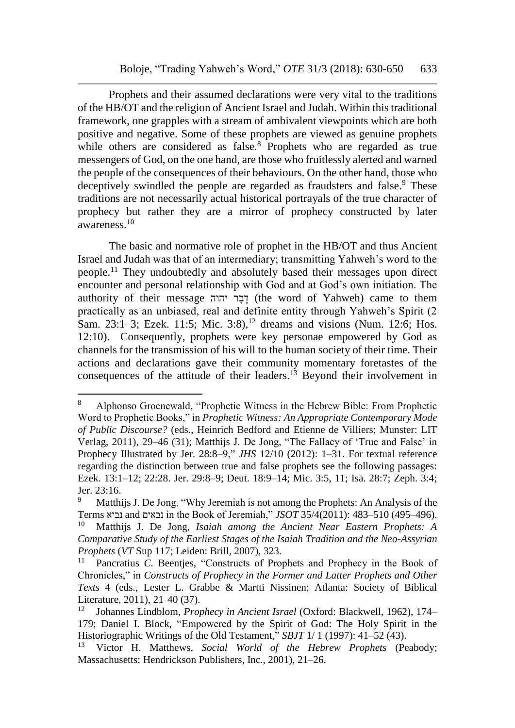Prophets and their assumed declarations were very vital to the traditions of the HB/OT and the religion of Ancient Israel and Judah. Within this traditional framework, one grapples with a stream of ambivalent viewpoints which are both positive and negative. Some of these prophets are viewed as genuine prophets while others are considered as false.<sup>8</sup> Prophets who are regarded as true messengers of God, on the one hand, are those who fruitlessly alerted and warned the people of the consequences of their behaviours. On the other hand, those who deceptively swindled the people are regarded as fraudsters and false.<sup>9</sup> These traditions are not necessarily actual historical portrayals of the true character of prophecy but rather they are a mirror of prophecy constructed by later awareness.<sup>10</sup>

The basic and normative role of prophet in the HB/OT and thus Ancient Israel and Judah was that of an intermediary; transmitting Yahweh's word to the people.<sup>11</sup> They undoubtedly and absolutely based their messages upon direct encounter and personal relationship with God and at God's own initiation. The authority of their message יהוה רָבָד) the word of Yahweh) came to them practically as an unbiased, real and definite entity through Yahweh's Spirit (2 Sam. 23:1–3; Ezek. 11:5; Mic. 3:8),<sup>12</sup> dreams and visions (Num. 12:6; Hos. 12:10). Consequently, prophets were key personae empowered by God as channels for the transmission of his will to the human society of their time. Their actions and declarations gave their community momentary foretastes of the consequences of the attitude of their leaders.<sup>13</sup> Beyond their involvement in

<sup>8</sup> Alphonso Groenewald, "Prophetic Witness in the Hebrew Bible: From Prophetic Word to Prophetic Books," in *Prophetic Witness: An Appropriate Contemporary Mode of Public Discourse?* (eds., Heinrich Bedford and Etienne de Villiers; Munster: LIT Verlag, 2011), 29–46 (31); Matthijs J. De Jong, "The Fallacy of 'True and False' in Prophecy Illustrated by Jer. 28:8–9," *JHS* 12/10 (2012): 1–31. For textual reference regarding the distinction between true and false prophets see the following passages: Ezek. 13:1–12; 22:28. Jer. 29:8–9; Deut. 18:9–14; Mic. 3:5, 11; Isa. 28:7; Zeph. 3:4; Jer. 23:16.

Matthijs J. De Jong, "Why Jeremiah is not among the Prophets: An Analysis of the Terms נביא and נבאים in the Book of Jeremiah," *JSOT* 35/4(2011): 483–510 (495–496). <sup>10</sup> Matthijs J. De Jong, *Isaiah among the Ancient Near Eastern Prophets: A Comparative Study of the Earliest Stages of the Isaiah Tradition and the Neo-Assyrian Prophets* (*VT* Sup 117; Leiden: Brill, 2007), 323.

<sup>&</sup>lt;sup>11</sup> Pancratius  $\overline{C}$ . Beentjes, "Constructs of Prophets and Prophecy in the Book of Chronicles," in *Constructs of Prophecy in the Former and Latter Prophets and Other Texts* 4 (eds., Lester L. Grabbe & Martti Nissinen; Atlanta: Society of Biblical Literature, 2011), 21–40 (37).

<sup>12</sup> Johannes Lindblom, *Prophecy in Ancient Israel* (Oxford: Blackwell, 1962), 174– 179; Daniel I. Block, "Empowered by the Spirit of God: The Holy Spirit in the Historiographic Writings of the Old Testament," *SBJT* 1/ 1 (1997): 41–52 (43).

<sup>13</sup> Victor H. Matthews, *Social World of the Hebrew Prophets* (Peabody; Massachusetts: Hendrickson Publishers, Inc., 2001), 21–26.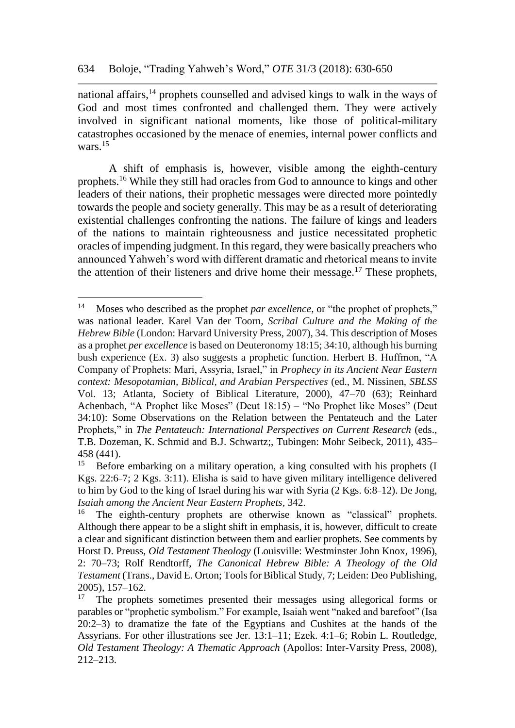national affairs, $14$  prophets counselled and advised kings to walk in the ways of God and most times confronted and challenged them. They were actively involved in significant national moments, like those of political-military catastrophes occasioned by the menace of enemies, internal power conflicts and wars.<sup>15</sup>

A shift of emphasis is, however, visible among the eighth-century prophets.<sup>16</sup> While they still had oracles from God to announce to kings and other leaders of their nations, their prophetic messages were directed more pointedly towards the people and society generally. This may be as a result of deteriorating existential challenges confronting the nations. The failure of kings and leaders of the nations to maintain righteousness and justice necessitated prophetic oracles of impending judgment. In this regard, they were basically preachers who announced Yahweh's word with different dramatic and rhetorical means to invite the attention of their listeners and drive home their message.<sup>17</sup> These prophets,

<sup>14</sup> Moses who described as the prophet *par excellence*, or "the prophet of prophets," was national leader. Karel Van der Toorn, *Scribal Culture and the Making of the Hebrew Bible* (London: Harvard University Press, 2007), 34. This description of Moses as a prophet *per excellence* is based on Deuteronomy 18:15; 34:10, although his burning bush experience (Ex. 3) also suggests a prophetic function. Herbert B. Huffmon, "A Company of Prophets: Mari, Assyria, Israel," in *Prophecy in its Ancient Near Eastern context: Mesopotamian, Biblical, and Arabian Perspectives* (ed., M. Nissinen, *SBLSS* Vol. 13; Atlanta, Society of Biblical Literature, 2000), 47–70 (63); Reinhard Achenbach, "A Prophet like Moses" (Deut 18:15) – "No Prophet like Moses" (Deut 34:10): Some Observations on the Relation between the Pentateuch and the Later Prophets," in *The Pentateuch: International Perspectives on Current Research* (eds., T.B. Dozeman, K. Schmid and B.J. Schwartz;, Tubingen: Mohr Seibeck, 2011), 435– 458 (441).

<sup>15</sup> Before embarking on a military operation, a king consulted with his prophets (I Kgs. 22:6–7; 2 Kgs. 3:11). Elisha is said to have given military intelligence delivered to him by God to the king of Israel during his war with Syria (2 Kgs. 6:8–12). De Jong, *Isaiah among the Ancient Near Eastern Prophets*, 342.

The eighth-century prophets are otherwise known as "classical" prophets. Although there appear to be a slight shift in emphasis, it is, however, difficult to create a clear and significant distinction between them and earlier prophets. See comments by Horst D. Preuss, *Old Testament Theology* (Louisville: Westminster John Knox, 1996), 2: 70–73; Rolf Rendtorff, *The Canonical Hebrew Bible: A Theology of the Old Testament* (Trans., David E. Orton; Tools for Biblical Study, 7; Leiden: Deo Publishing, 2005), 157–162.

<sup>&</sup>lt;sup>17</sup> The prophets sometimes presented their messages using allegorical forms or parables or "prophetic symbolism." For example, Isaiah went "naked and barefoot" (Isa 20:2–3) to dramatize the fate of the Egyptians and Cushites at the hands of the Assyrians. For other illustrations see Jer. 13:1–11; Ezek. 4:1–6; Robin L. Routledge, *Old Testament Theology: A Thematic Approach* (Apollos: Inter-Varsity Press, 2008), 212–213.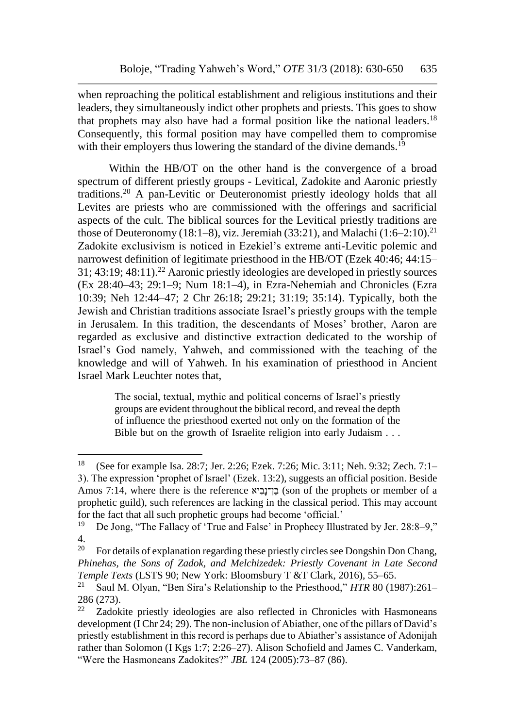when reproaching the political establishment and religious institutions and their leaders, they simultaneously indict other prophets and priests. This goes to show that prophets may also have had a formal position like the national leaders.<sup>18</sup> Consequently, this formal position may have compelled them to compromise with their employers thus lowering the standard of the divine demands.<sup>19</sup>

Within the HB/OT on the other hand is the convergence of a broad spectrum of different priestly groups - Levitical, Zadokite and Aaronic priestly traditions.<sup>20</sup> A pan-Levitic or Deuteronomist priestly ideology holds that all Levites are priests who are commissioned with the offerings and sacrificial aspects of the cult. The biblical sources for the Levitical priestly traditions are those of Deuteronomy (18:1–8), viz. Jeremiah (33:21), and Malachi (1:6–2:10).<sup>21</sup> Zadokite exclusivism is noticed in Ezekiel's extreme anti-Levitic polemic and narrowest definition of legitimate priesthood in the HB/OT (Ezek 40:46; 44:15– 31; 43:19; 48:11).<sup>22</sup> Aaronic priestly ideologies are developed in priestly sources (Ex 28:40–43; 29:1–9; Num 18:1–4), in Ezra-Nehemiah and Chronicles (Ezra 10:39; Neh 12:44–47; 2 Chr 26:18; 29:21; 31:19; 35:14). Typically, both the Jewish and Christian traditions associate Israel's priestly groups with the temple in Jerusalem. In this tradition, the descendants of Moses' brother, Aaron are regarded as exclusive and distinctive extraction dedicated to the worship of Israel's God namely, Yahweh, and commissioned with the teaching of the knowledge and will of Yahweh. In his examination of priesthood in Ancient Israel Mark Leuchter notes that,

> The social, textual, mythic and political concerns of Israel's priestly groups are evident throughout the biblical record, and reveal the depth of influence the priesthood exerted not only on the formation of the Bible but on the growth of Israelite religion into early Judaism . . .

<sup>18</sup> (See for example Isa. 28:7; Jer. 2:26; Ezek. 7:26; Mic. 3:11; Neh. 9:32; Zech. 7:1– 3). The expression 'prophet of Israel' (Ezek. 13:2), suggests an official position. Beside Amos 7:14, where there is the reference יאִבָן־נֵב) son of the prophets or member of a prophetic guild), such references are lacking in the classical period. This may account for the fact that all such prophetic groups had become 'official.'<br><sup>19</sup> De Jong "The Fallacy of 'True and False' in Prophecy Illus

<sup>19</sup> De Jong, "The Fallacy of 'True and False' in Prophecy Illustrated by Jer. 28:8–9,"  $rac{4}{20}$ 

<sup>20</sup> For details of explanation regarding these priestly circles see Dongshin Don Chang, *Phinehas, the Sons of Zadok, and Melchizedek: Priestly Covenant in Late Second Temple Texts* (LSTS 90; New York: Bloomsbury T &T Clark, 2016), 55–65.<br><sup>21</sup> Saul M. Olyan. "Ben Sira's Relationship to the Priesthood." *HTR* 80.(10)

<sup>21</sup> Saul M. Olyan, "Ben Sira's Relationship to the Priesthood," *HTR* 80 (1987):261–  $\frac{286}{22}$  Zadok

<sup>22</sup> Zadokite priestly ideologies are also reflected in Chronicles with Hasmoneans development (I Chr 24; 29). The non-inclusion of Abiather, one of the pillars of David's priestly establishment in this record is perhaps due to Abiather's assistance of Adonijah rather than Solomon (I Kgs 1:7; 2:26–27). Alison Schofield and James C. Vanderkam, "Were the Hasmoneans Zadokites?" *JBL* 124 (2005):73–87 (86).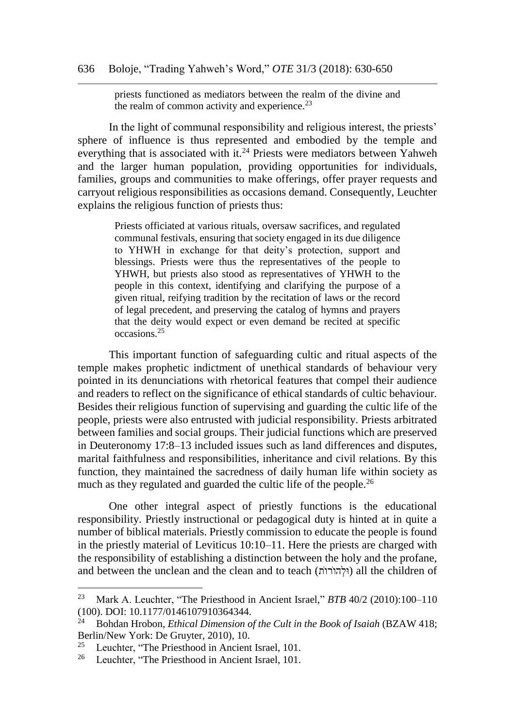priests functioned as mediators between the realm of the divine and the realm of common activity and experience. $23$ 

In the light of communal responsibility and religious interest, the priests' sphere of influence is thus represented and embodied by the temple and everything that is associated with it.<sup>24</sup> Priests were mediators between Yahweh and the larger human population, providing opportunities for individuals, families, groups and communities to make offerings, offer prayer requests and carryout religious responsibilities as occasions demand. Consequently, Leuchter explains the religious function of priests thus:

> Priests officiated at various rituals, oversaw sacrifices, and regulated communal festivals, ensuring that society engaged in its due diligence to YHWH in exchange for that deity's protection, support and blessings. Priests were thus the representatives of the people to YHWH, but priests also stood as representatives of YHWH to the people in this context, identifying and clarifying the purpose of a given ritual, reifying tradition by the recitation of laws or the record of legal precedent, and preserving the catalog of hymns and prayers that the deity would expect or even demand be recited at specific occasions.<sup>25</sup>

This important function of safeguarding cultic and ritual aspects of the temple makes prophetic indictment of unethical standards of behaviour very pointed in its denunciations with rhetorical features that compel their audience and readers to reflect on the significance of ethical standards of cultic behaviour. Besides their religious function of supervising and guarding the cultic life of the people, priests were also entrusted with judicial responsibility. Priests arbitrated between families and social groups. Their judicial functions which are preserved in Deuteronomy 17:8–13 included issues such as land differences and disputes, marital faithfulness and responsibilities, inheritance and civil relations. By this function, they maintained the sacredness of daily human life within society as much as they regulated and guarded the cultic life of the people.<sup>26</sup>

One other integral aspect of priestly functions is the educational responsibility. Priestly instructional or pedagogical duty is hinted at in quite a number of biblical materials. Priestly commission to educate the people is found in the priestly material of Leviticus 10:10–11. Here the priests are charged with the responsibility of establishing a distinction between the holy and the profane, and between the unclean and the clean and to teach (וֹלְהוֹרוֹת) all the children of

<sup>23</sup> Mark A. Leuchter, "The Priesthood in Ancient Israel," *BTB* 40/2 (2010):100–110 (100). DOI: 10.1177/0146107910364344.<br><sup>24</sup> Bohdan Hrobon, *Ethical Dimension* of

<sup>24</sup> Bohdan Hrobon, *Ethical Dimension of the Cult in the Book of Isaiah* (BZAW 418; Berlin/New York: De Gruyter, 2010), 10.

<sup>&</sup>lt;sup>25</sup> Leuchter, "The Priesthood in Ancient Israel, 101.<br><sup>26</sup> Leuchter, "The Priesthood in Ancient Israel, 101.

Leuchter, "The Priesthood in Ancient Israel, 101.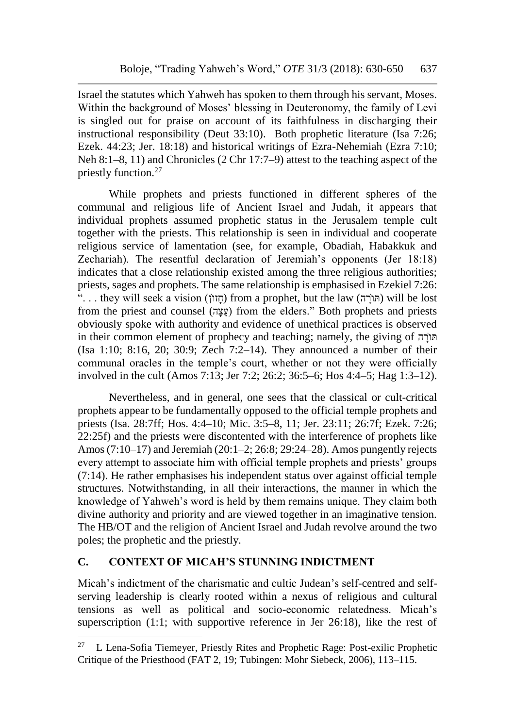Israel the statutes which Yahweh has spoken to them through his servant, Moses. Within the background of Moses' blessing in Deuteronomy, the family of Levi is singled out for praise on account of its faithfulness in discharging their instructional responsibility (Deut 33:10). Both prophetic literature (Isa 7:26; Ezek. 44:23; Jer. 18:18) and historical writings of Ezra-Nehemiah (Ezra 7:10; Neh 8:1–8, 11) and Chronicles (2 Chr 17:7–9) attest to the teaching aspect of the priestly function.<sup>27</sup>

While prophets and priests functioned in different spheres of the communal and religious life of Ancient Israel and Judah, it appears that individual prophets assumed prophetic status in the Jerusalem temple cult together with the priests. This relationship is seen in individual and cooperate religious service of lamentation (see, for example, Obadiah, Habakkuk and Zechariah). The resentful declaration of Jeremiah's opponents (Jer 18:18) indicates that a close relationship existed among the three religious authorities; priests, sages and prophets. The same relationship is emphasised in Ezekiel 7:26: "... they will seek a vision (הזווֹ) from a prophet, but the law (הוֹרָה) will be lost from the priest and counsel (הָצֵע (from the elders." Both prophets and priests obviously spoke with authority and evidence of unethical practices is observed in their common element of prophecy and teaching; namely, the giving of ה (Isa 1:10; 8:16, 20; 30:9; Zech 7:2–14). They announced a number of their communal oracles in the temple's court, whether or not they were officially involved in the cult (Amos 7:13; Jer 7:2; 26:2; 36:5–6; Hos 4:4–5; Hag 1:3–12).

Nevertheless, and in general, one sees that the classical or cult-critical prophets appear to be fundamentally opposed to the official temple prophets and priests (Isa. 28:7ff; Hos. 4:4–10; Mic. 3:5–8, 11; Jer. 23:11; 26:7f; Ezek. 7:26; 22:25f) and the priests were discontented with the interference of prophets like Amos (7:10–17) and Jeremiah (20:1–2; 26:8; 29:24–28). Amos pungently rejects every attempt to associate him with official temple prophets and priests' groups (7:14). He rather emphasises his independent status over against official temple structures. Notwithstanding, in all their interactions, the manner in which the knowledge of Yahweh's word is held by them remains unique. They claim both divine authority and priority and are viewed together in an imaginative tension. The HB/OT and the religion of Ancient Israel and Judah revolve around the two poles; the prophetic and the priestly.

## **C. CONTEXT OF MICAH'S STUNNING INDICTMENT**

l

Micah's indictment of the charismatic and cultic Judean's self-centred and selfserving leadership is clearly rooted within a nexus of religious and cultural tensions as well as political and socio-economic relatedness. Micah's superscription (1:1; with supportive reference in Jer 26:18), like the rest of

<sup>&</sup>lt;sup>27</sup> L Lena-Sofia Tiemeyer, Priestly Rites and Prophetic Rage: Post-exilic Prophetic Critique of the Priesthood (FAT 2, 19; Tubingen: Mohr Siebeck, 2006), 113–115.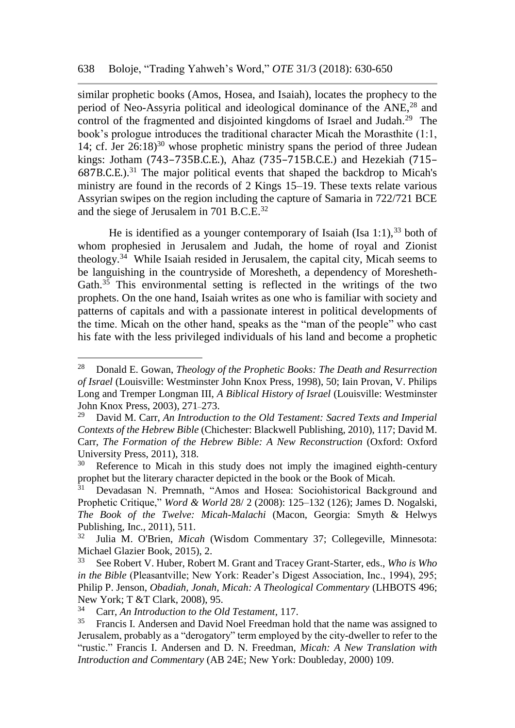similar prophetic books (Amos, Hosea, and Isaiah), locates the prophecy to the period of Neo-Assyria political and ideological dominance of the ANE,<sup>28</sup> and control of the fragmented and disjointed kingdoms of Israel and Judah.<sup>29</sup> The book's prologue introduces the traditional character Micah the Morasthite (1:1, 14; cf. Jer  $26:18$ <sup>30</sup> whose prophetic ministry spans the period of three Judean kings: Jotham (743–735B.C.E.), Ahaz (735–715B.C.E.) and Hezekiah (715–  $687B.C.E.).$ <sup>31</sup> The major political events that shaped the backdrop to Micah's ministry are found in the records of 2 Kings 15–19. These texts relate various Assyrian swipes on the region including the capture of Samaria in 722/721 BCE and the siege of Jerusalem in 701 B.C.E.<sup>32</sup>

He is identified as a younger contemporary of Isaiah (Isa  $1:1$ ),  $33$  both of whom prophesied in Jerusalem and Judah, the home of royal and Zionist theology.<sup>34</sup> While Isaiah resided in Jerusalem, the capital city, Micah seems to be languishing in the countryside of Moresheth, a dependency of Moresheth-Gath. $35$  This environmental setting is reflected in the writings of the two prophets. On the one hand, Isaiah writes as one who is familiar with society and patterns of capitals and with a passionate interest in political developments of the time. Micah on the other hand, speaks as the "man of the people" who cast his fate with the less privileged individuals of his land and become a prophetic

<sup>28</sup> Donald E. Gowan, *Theology of the Prophetic Books: The Death and Resurrection of Israel* (Louisville: Westminster John Knox Press, 1998), 50; Iain Provan, V. Philips Long and Tremper Longman III, *A Biblical History of Israel* (Louisville: Westminster John Knox Press, 2003), 271–273.

<sup>29</sup> David M. Carr, *An Introduction to the Old Testament: Sacred Texts and Imperial Contexts of the Hebrew Bible* (Chichester: Blackwell Publishing, 2010), 117; David M. Carr, *The Formation of the Hebrew Bible: A New Reconstruction* (Oxford: Oxford University Press, 2011), 318.

Reference to Micah in this study does not imply the imagined eighth-century prophet but the literary character depicted in the book or the Book of Micah.<br><sup>31</sup> Devadasan N. Premnath. "Amos and Hosea: Sociobistorical Backgr

<sup>31</sup> Devadasan N. Premnath, "Amos and Hosea: Sociohistorical Background and Prophetic Critique," *Word & World* 28/ 2 (2008): 125–132 (126); James D. Nogalski, *The Book of the Twelve: Micah-Malachi* (Macon, Georgia: Smyth & Helwys Publishing, Inc., 2011), 511.<br> $^{32}$  Julie M. O'Prior, Mice

<sup>32</sup> Julia M. O'Brien, *Micah* (Wisdom Commentary 37; Collegeville, Minnesota: Michael Glazier Book, 2015), 2.

<sup>33</sup> See Robert V. Huber, Robert M. Grant and Tracey Grant-Starter, eds., *Who is Who in the Bible* (Pleasantville; New York: Reader's Digest Association, Inc., 1994), 295; Philip P. Jenson, *Obadiah, Jonah, Micah: A Theological Commentary* (LHBOTS 496; New York; T &T Clark, 2008), 95.<br> $^{34}$  Carr, An Introduction to the Ol

<sup>34</sup> Carr, *An Introduction to the Old Testament*, 117.

<sup>35</sup> Francis I. Andersen and David Noel Freedman hold that the name was assigned to Jerusalem, probably as a "derogatory" term employed by the city-dweller to refer to the "rustic." Francis I. Andersen and D. N. Freedman, *Micah: A New Translation with Introduction and Commentary* (AB 24E; New York: Doubleday, 2000) 109.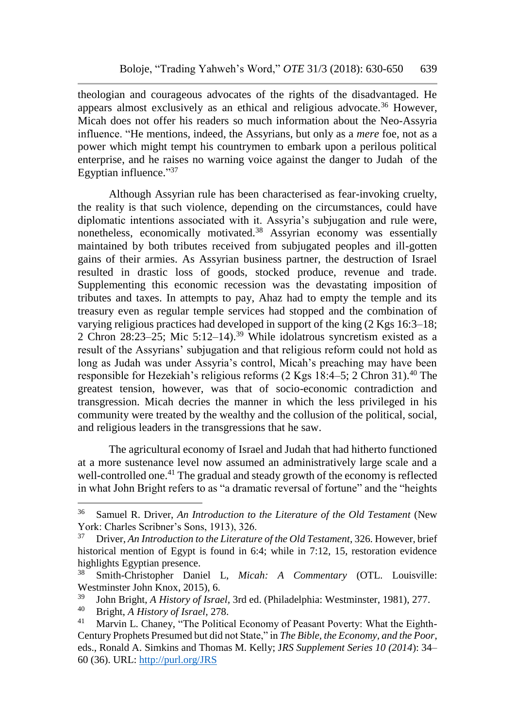theologian and courageous advocates of the rights of the disadvantaged. He appears almost exclusively as an ethical and religious advocate.<sup>36</sup> However, Micah does not offer his readers so much information about the Neo-Assyria influence. "He mentions, indeed, the Assyrians, but only as a *mere* foe, not as a power which might tempt his countrymen to embark upon a perilous political enterprise, and he raises no warning voice against the danger to Judah of the Egyptian influence."37

Although Assyrian rule has been characterised as fear-invoking cruelty, the reality is that such violence, depending on the circumstances, could have diplomatic intentions associated with it. Assyria's subjugation and rule were, nonetheless, economically motivated.<sup>38</sup> Assyrian economy was essentially maintained by both tributes received from subjugated peoples and ill-gotten gains of their armies. As Assyrian business partner, the destruction of Israel resulted in drastic loss of goods, stocked produce, revenue and trade. Supplementing this economic recession was the devastating imposition of tributes and taxes. In attempts to pay, Ahaz had to empty the temple and its treasury even as regular temple services had stopped and the combination of varying religious practices had developed in support of the king (2 Kgs 16:3–18; 2 Chron  $28:23-25$ ; Mic  $5:12-14$ .<sup>39</sup> While idolatrous syncretism existed as a result of the Assyrians' subjugation and that religious reform could not hold as long as Judah was under Assyria's control, Micah's preaching may have been responsible for Hezekiah's religious reforms  $(2 \text{ Kgs } 18:4-5; 2 \text{ Chron } 31).40$  The greatest tension, however, was that of socio-economic contradiction and transgression. Micah decries the manner in which the less privileged in his community were treated by the wealthy and the collusion of the political, social, and religious leaders in the transgressions that he saw.

The agricultural economy of Israel and Judah that had hitherto functioned at a more sustenance level now assumed an administratively large scale and a well-controlled one.<sup>41</sup> The gradual and steady growth of the economy is reflected in what John Bright refers to as "a dramatic reversal of fortune" and the "heights

<sup>&</sup>lt;sup>36</sup> Samuel R. Driver, *An Introduction to the Literature of the Old Testament* (New York: Charles Scribner's Sons, 1913), 326.<br><sup>37</sup> Priver, An Introduction to the Literature

<sup>37</sup> Driver, *An Introduction to the Literature of the Old Testament*, 326. However, brief historical mention of Egypt is found in 6:4; while in 7:12, 15, restoration evidence highlights Egyptian presence.<br><sup>38</sup> Smith-Christopher Dani

<sup>38</sup> Smith-Christopher Daniel L, *Micah: A Commentary* (OTL. Louisville: Westminster John Knox, 2015), 6.<br> $^{39}$  John Bright A History of Israel

<sup>39</sup> John Bright, *A History of Israel,* 3rd ed. (Philadelphia: Westminster, 1981), 277.

<sup>40</sup> Bright, *A History of Israel,* 278.

Marvin L. Chaney, "The Political Economy of Peasant Poverty: What the Eighth-Century Prophets Presumed but did not State," in *The Bible, the Economy, and the Poor*, eds., Ronald A. Simkins and Thomas M. Kelly; J*RS Supplement Series 10 (2014*): 34– 60 (36). URL:<http://purl.org/JRS>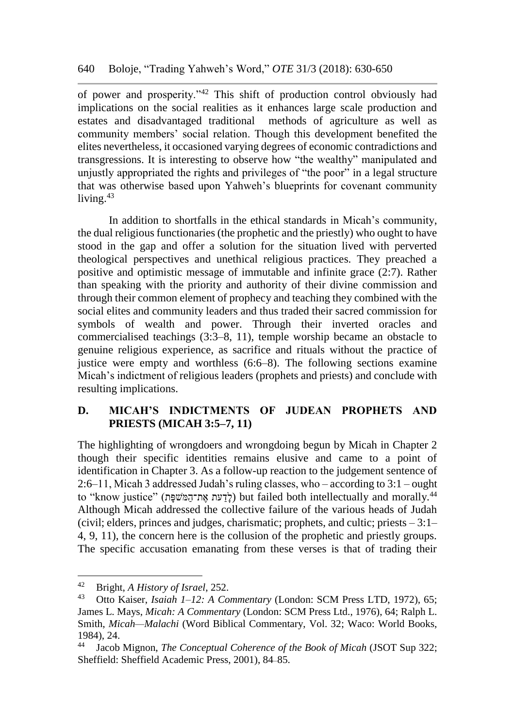of power and prosperity."<sup>42</sup> This shift of production control obviously had implications on the social realities as it enhances large scale production and estates and disadvantaged traditional methods of agriculture as well as community members' social relation. Though this development benefited the elites nevertheless, it occasioned varying degrees of economic contradictions and transgressions. It is interesting to observe how "the wealthy" manipulated and unjustly appropriated the rights and privileges of "the poor" in a legal structure that was otherwise based upon Yahweh's blueprints for covenant community living.<sup>43</sup>

In addition to shortfalls in the ethical standards in Micah's community, the dual religious functionaries (the prophetic and the priestly) who ought to have stood in the gap and offer a solution for the situation lived with perverted theological perspectives and unethical religious practices. They preached a positive and optimistic message of immutable and infinite grace (2:7). Rather than speaking with the priority and authority of their divine commission and through their common element of prophecy and teaching they combined with the social elites and community leaders and thus traded their sacred commission for symbols of wealth and power. Through their inverted oracles and commercialised teachings (3:3–8, 11), temple worship became an obstacle to genuine religious experience, as sacrifice and rituals without the practice of justice were empty and worthless (6:6–8). The following sections examine Micah's indictment of religious leaders (prophets and priests) and conclude with resulting implications.

## **D. MICAH'S INDICTMENTS OF JUDEAN PROPHETS AND PRIESTS (MICAH 3:5–7, 11)**

The highlighting of wrongdoers and wrongdoing begun by Micah in Chapter 2 though their specific identities remains elusive and came to a point of identification in Chapter 3. As a follow-up reaction to the judgement sentence of 2:6–11, Micah 3 addressed Judah's ruling classes, who – according to 3:1 – ought to "know justice" (לדעת את־המּשׁפּת) but failed both intellectually and morally.<sup>44</sup> Although Micah addressed the collective failure of the various heads of Judah (civil; elders, princes and judges, charismatic; prophets, and cultic; priests – 3:1– 4, 9, 11), the concern here is the collusion of the prophetic and priestly groups. The specific accusation emanating from these verses is that of trading their

<sup>42</sup> Bright, *A History of Israel*, 252.

<sup>43</sup> Otto Kaiser, *Isaiah 1–12: A Commentary* (London: SCM Press LTD, 1972), 65; James L. Mays, *Micah: A Commentary* (London: SCM Press Ltd., 1976), 64; Ralph L. Smith, *Micah—Malachi* (Word Biblical Commentary, Vol. 32; Waco: World Books, 1984), 24.<br><sup>44</sup> Iacob

<sup>44</sup> Jacob Mignon, *The Conceptual Coherence of the Book of Micah* (JSOT Sup 322; Sheffield: Sheffield Academic Press, 2001), 84–85.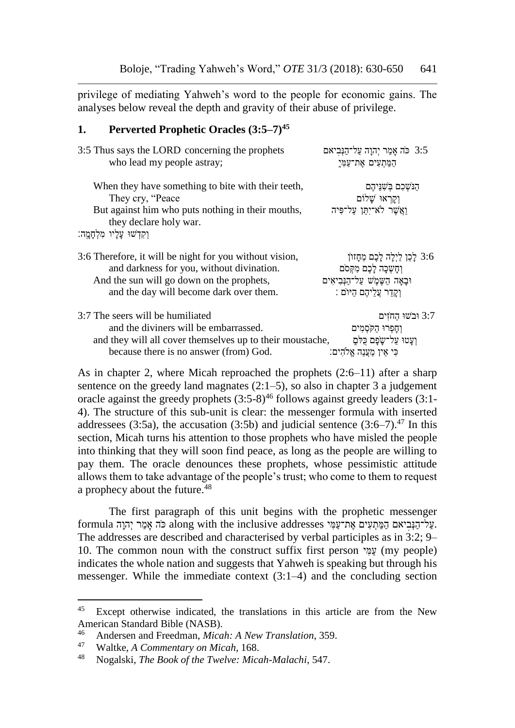privilege of mediating Yahweh's word to the people for economic gains. The analyses below reveal the depth and gravity of their abuse of privilege.

#### **1. Perverted Prophetic Oracles (3:5–7)<sup>45</sup>**

| 3:5 Thus says the LORD concerning the prophets                                                                                                         | 3:5 כֹּה אָמַר יְהוָה עַל־הַנִּביאם                                            |
|--------------------------------------------------------------------------------------------------------------------------------------------------------|--------------------------------------------------------------------------------|
| who lead my people astray;                                                                                                                             | הַמַּתְעִים אֶת־עַמְיָ                                                         |
| When they have something to bite with their teeth,<br>They cry, "Peace"<br>But against him who puts nothing in their mouths,<br>they declare holy war. | הַנֹּשְׁכָם בִּשְׁנֵּיהֵם<br>וַקַרְאוּ שֵׁלוֹם<br>וַאֲשֶׁר לֹא־יָתַן עַל־פִּיה |
| וִקְדְשׁוּ עֲלָיו מְלְחָמֶה:                                                                                                                           |                                                                                |
| 3:6 Therefore, it will be night for you without vision,                                                                                                | 3:6 לַכֵּן לַיִלַה לַבֵּם מֵחָזוֹן                                             |
| and darkness for you, without divination.                                                                                                              | וְחַשְׁכַה לַבֵם מְקִסֹם                                                       |
| And the sun will go down on the prophets,                                                                                                              | וּבָאָה הַשֶּׁמָשׁ עַל־הַנְּבִיאִים                                            |
| and the day will become dark over them.                                                                                                                | וְקַדַר עֱלֵיהֶם הַיּוֹם :                                                     |
| 3:7 The seers will be humiliated                                                                                                                       | 3:7 וּבֹשׁוּ החזים                                                             |
| and the diviners will be embarrassed.                                                                                                                  | וְחַפְרוּ הַקֹּסְמִים                                                          |
| and they will all cover themselves up to their moustache,                                                                                              | וְעַטוּ עַל־שַׂפָם כָּלֹםָ                                                     |
| because there is no answer (from) God.                                                                                                                 | כִּי אַין מַעֲנָה אֱלֹהִים:                                                    |

As in chapter 2, where Micah reproached the prophets (2:6–11) after a sharp sentence on the greedy land magnates  $(2:1-5)$ , so also in chapter 3 a judgement oracle against the greedy prophets  $(3.5-8)^{46}$  follows against greedy leaders  $(3.1-$ 4). The structure of this sub-unit is clear: the messenger formula with inserted addressees (3:5a), the accusation (3:5b) and judicial sentence (3:6–7).<sup>47</sup> In this section, Micah turns his attention to those prophets who have misled the people into thinking that they will soon find peace, as long as the people are willing to pay them. The oracle denounces these prophets, whose pessimistic attitude allows them to take advantage of the people's trust; who come to them to request a prophecy about the future.<sup>48</sup>

The first paragraph of this unit begins with the prophetic messenger formula בּה אָמַר יְהוָה along with the inclusive addresses יעַל־הַנְּבִיאם הַמַּתְעִים אֶת־עַמִּי. The addresses are described and characterised by verbal participles as in 3:2; 9– 10. The common noun with the construct suffix first person יִמַע) my people) indicates the whole nation and suggests that Yahweh is speaking but through his messenger. While the immediate context (3:1–4) and the concluding section

<sup>&</sup>lt;sup>45</sup> Except otherwise indicated, the translations in this article are from the New American Standard Bible (NASB).

<sup>46</sup> Andersen and Freedman, *Micah: A New Translation*, 359.<br><sup>47</sup> Waltke, A Commentary on Micah, 168.

<sup>47</sup> Waltke, *A Commentary on Micah*, 168.

<sup>48</sup> Nogalski, *The Book of the Twelve: Micah-Malachi*, 547.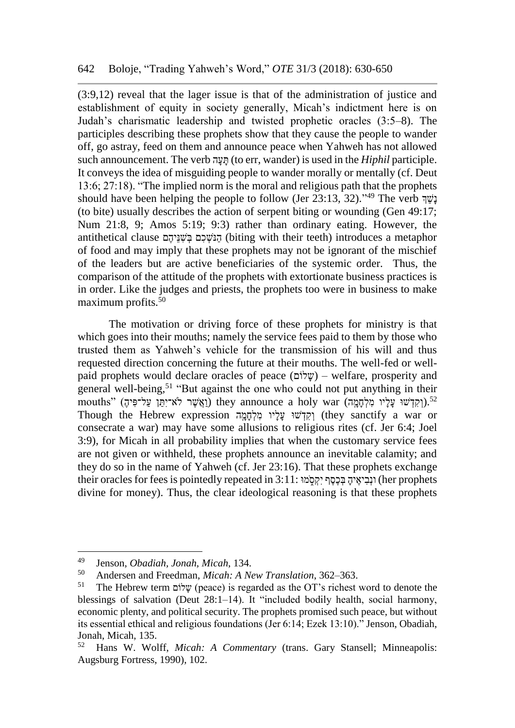(3:9,12) reveal that the lager issue is that of the administration of justice and establishment of equity in society generally, Micah's indictment here is on Judah's charismatic leadership and twisted prophetic oracles (3:5–8). The participles describing these prophets show that they cause the people to wander off, go astray, feed on them and announce peace when Yahweh has not allowed such announcement. The verb הָעָתּ) to err, wander) is used in the *Hiphil* participle. It conveys the idea of misguiding people to wander morally or mentally (cf. Deut 13:6; 27:18). "The implied norm is the moral and religious path that the prophets should have been helping the people to follow (Jer 23:13, 32)."<sup>49</sup> The verb (to bite) usually describes the action of serpent biting or wounding (Gen 49:17; Num 21:8, 9; Amos 5:19; 9:3) rather than ordinary eating. However, the antithetical clause הַנֹּשֶׁכָּם בְּשִׁנֵּיהֶם (biting with their teeth) introduces a metaphor of food and may imply that these prophets may not be ignorant of the mischief of the leaders but are active beneficiaries of the systemic order. Thus, the comparison of the attitude of the prophets with extortionate business practices is in order. Like the judges and priests, the prophets too were in business to make maximum profits.<sup>50</sup>

The motivation or driving force of these prophets for ministry is that which goes into their mouths; namely the service fees paid to them by those who trusted them as Yahweh's vehicle for the transmission of his will and thus requested direction concerning the future at their mouths. The well-fed or wellpaid prophets would declare oracles of peace (וםֹלָש – (welfare, prosperity and general well-being,  $51$  "But against the one who could not put anything in their mouths" (וְקִדְּשׁוּ עַלִיפִיה) they announce a holy war (וְקִדְשׁוּ עַלִּין מַלְחַמָּה).<sup>52</sup> Though the Hebrew expression וְקִדְשׁוּ עָלָיו מִלְחָמֵה (they sanctify a war or consecrate a war) may have some allusions to religious rites (cf. Jer 6:4; Joel 3:9), for Micah in all probability implies that when the customary service fees are not given or withheld, these prophets announce an inevitable calamity; and they do so in the name of Yahweh (cf. Jer 23:16). That these prophets exchange their oracles for fees is pointedly repeated in 3:11: יוֹבִיאֵיהַ בְּכֵסֶף יִקְסָמּוּ (her prophets divine for money). Thus, the clear ideological reasoning is that these prophets

<sup>49</sup> Jenson, *Obadiah, Jonah, Micah*, 134.

<sup>50</sup> Andersen and Freedman, *Micah: A New Translation*, 362–363.

<sup>51</sup> The Hebrew term וםֹלָש) peace) is regarded as the OT's richest word to denote the blessings of salvation (Deut 28:1–14). It "included bodily health, social harmony, economic plenty, and political security. The prophets promised such peace, but without its essential ethical and religious foundations (Jer 6:14; Ezek 13:10)." Jenson, Obadiah, Jonah, Micah, 135.

<sup>52</sup> Hans W. Wolff, *Micah: A Commentary* (trans. Gary Stansell; Minneapolis: Augsburg Fortress, 1990), 102.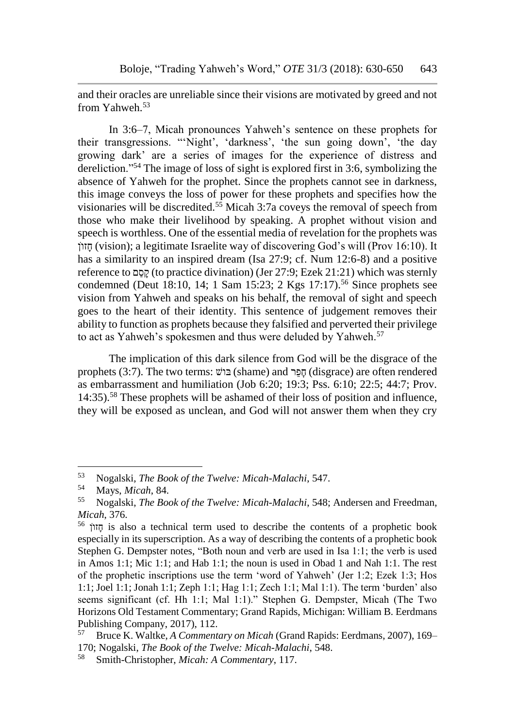and their oracles are unreliable since their visions are motivated by greed and not from Yahweh.<sup>53</sup>

In 3:6–7, Micah pronounces Yahweh's sentence on these prophets for their transgressions. "'Night', 'darkness', 'the sun going down', 'the day growing dark' are a series of images for the experience of distress and dereliction."<sup>54</sup> The image of loss of sight is explored first in 3:6, symbolizing the absence of Yahweh for the prophet. Since the prophets cannot see in darkness, this image conveys the loss of power for these prophets and specifies how the visionaries will be discredited.<sup>55</sup> Micah 3:7a coveys the removal of speech from those who make their livelihood by speaking. A prophet without vision and speech is worthless. One of the essential media of revelation for the prophets was חזון (vision); a legitimate Israelite way of discovering God's will (Prov 16:10). It has a similarity to an inspired dream (Isa 27:9; cf. Num 12:6-8) and a positive reference to םַסָק) to practice divination) (Jer 27:9; Ezek 21:21) which was sternly condemned (Deut 18:10, 14; 1 Sam 15:23; 2 Kgs 17:17).<sup>56</sup> Since prophets see vision from Yahweh and speaks on his behalf, the removal of sight and speech goes to the heart of their identity. This sentence of judgement removes their ability to function as prophets because they falsified and perverted their privilege to act as Yahweh's spokesmen and thus were deluded by Yahweh.<sup>57</sup>

The implication of this dark silence from God will be the disgrace of the prophets (3:7). The two terms: בוֹשׁ) (shame) and פְּרֵר (disgrace) are often rendered as embarrassment and humiliation (Job 6:20; 19:3; Pss. 6:10; 22:5; 44:7; Prov. 14:35).<sup>58</sup> These prophets will be ashamed of their loss of position and influence, they will be exposed as unclean, and God will not answer them when they cry

<sup>53</sup> Nogalski, *The Book of the Twelve: Micah-Malachi*, 547.

<sup>54</sup> Mays, *Micah*, 84.

<sup>55</sup> Nogalski, *The Book of the Twelve: Micah-Malachi*, 548; Andersen and Freedman, *Micah*, 376.

<sup>&</sup>lt;sup>56</sup> הזוֹן is also a technical term used to describe the contents of a prophetic book especially in its superscription. As a way of describing the contents of a prophetic book Stephen G. Dempster notes, "Both noun and verb are used in Isa 1:1; the verb is used in Amos 1:1; Mic 1:1; and Hab 1:1; the noun is used in Obad 1 and Nah 1:1. The rest of the prophetic inscriptions use the term 'word of Yahweh' (Jer 1:2; Ezek 1:3; Hos 1:1; Joel 1:1; Jonah 1:1; Zeph 1:1; Hag 1:1; Zech 1:1; Mal 1:1). The term 'burden' also seems significant (cf. Hh 1:1; Mal 1:1)." Stephen G. Dempster, Micah (The Two Horizons Old Testament Commentary; Grand Rapids, Michigan: William B. Eerdmans Publishing Company, 2017), 112.

<sup>57</sup> Bruce K. Waltke, *A Commentary on Micah* (Grand Rapids: Eerdmans, 2007), 169– 170; Nogalski, *The Book of the Twelve: Micah-Malachi*, 548.

<sup>58</sup> Smith-Christopher, *Micah: A Commentary*, 117.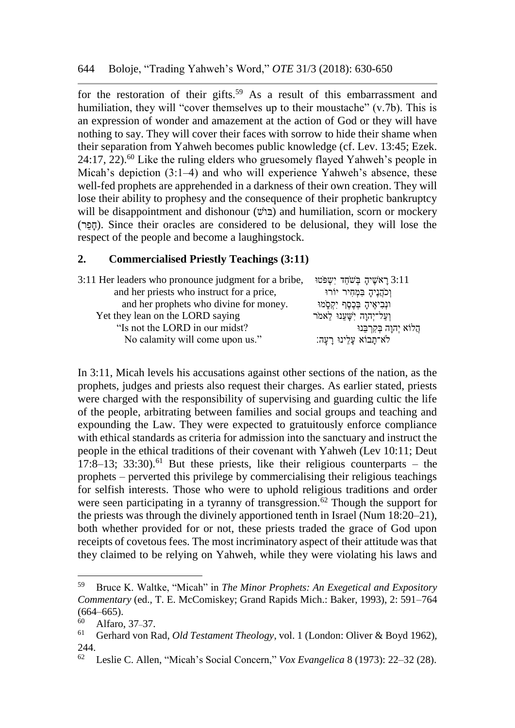for the restoration of their gifts.<sup>59</sup> As a result of this embarrassment and humiliation, they will "cover themselves up to their moustache" (v.7b). This is an expression of wonder and amazement at the action of God or they will have nothing to say. They will cover their faces with sorrow to hide their shame when their separation from Yahweh becomes public knowledge (cf. Lev. 13:45; Ezek.  $24:17, 22$ <sup>60</sup> Like the ruling elders who gruesomely flayed Yahweh's people in Micah's depiction (3:1–4) and who will experience Yahweh's absence, these well-fed prophets are apprehended in a darkness of their own creation. They will lose their ability to prophesy and the consequence of their prophetic bankruptcy will be disappointment and dishonour  $(\vec{v})$  and humiliation, scorn or mockery (רֵפָח(. Since their oracles are considered to be delusional, they will lose the respect of the people and become a laughingstock.

## **2. Commercialised Priestly Teachings (3:11)**

| 3:11 Her leaders who pronounce judgment for a bribe, | ראשיה בשחד ישפטו 3:11            |
|------------------------------------------------------|----------------------------------|
| and her priests who instruct for a price,            | וְכֹהֲנֶיהָ בִּמְחָיר יוֹרוּ     |
| and her prophets who divine for money.               | וּנְבִיאֶיהָ בְּכֶסֶף יְקִסָּמוּ |
| Yet they lean on the LORD saying                     | וַעֲל־יִהוַה יִשָּׁעֲנוּ לֵאמֹר  |
| "Is not the LORD in our midst?                       | הֲלוֹא יִהְוָה בְּקְרְבֵּנוּ     |
| No calamity will come upon us."                      | לא־תָבוֹא עָלֵינוּ רָעָהּ:       |

In 3:11, Micah levels his accusations against other sections of the nation, as the prophets, judges and priests also request their charges. As earlier stated, priests were charged with the responsibility of supervising and guarding cultic the life of the people, arbitrating between families and social groups and teaching and expounding the Law. They were expected to gratuitously enforce compliance with ethical standards as criteria for admission into the sanctuary and instruct the people in the ethical traditions of their covenant with Yahweh (Lev 10:11; Deut 17:8–13; 33:30).<sup>61</sup> But these priests, like their religious counterparts – the prophets – perverted this privilege by commercialising their religious teachings for selfish interests. Those who were to uphold religious traditions and order were seen participating in a tyranny of transgression.<sup>62</sup> Though the support for the priests was through the divinely apportioned tenth in Israel (Num 18:20–21), both whether provided for or not, these priests traded the grace of God upon receipts of covetous fees. The most incriminatory aspect of their attitude was that they claimed to be relying on Yahweh, while they were violating his laws and

<sup>59</sup> Bruce K. Waltke, "Micah" in *The Minor Prophets: An Exegetical and Expository Commentary* (ed., T. E. McComiskey; Grand Rapids Mich.: Baker, 1993), 2: 591–764  $(664–665)$ .

 $^{60}$  Alfaro, 37–37.

<sup>61</sup> Gerhard von Rad, *Old Testament Theology*, vol. 1 (London: Oliver & Boyd 1962),  $244.$ 

<sup>62</sup> Leslie C. Allen, "Micah's Social Concern," *Vox Evangelica* 8 (1973): 22–32 (28).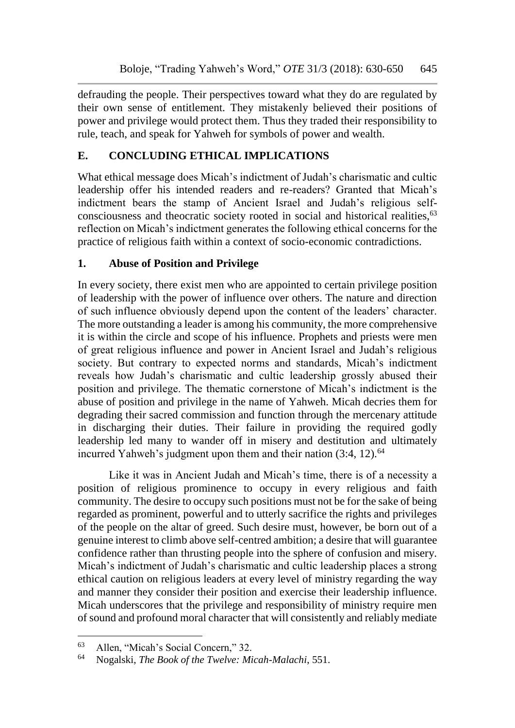defrauding the people. Their perspectives toward what they do are regulated by their own sense of entitlement. They mistakenly believed their positions of power and privilege would protect them. Thus they traded their responsibility to rule, teach, and speak for Yahweh for symbols of power and wealth.

## **E. CONCLUDING ETHICAL IMPLICATIONS**

What ethical message does Micah's indictment of Judah's charismatic and cultic leadership offer his intended readers and re-readers? Granted that Micah's indictment bears the stamp of Ancient Israel and Judah's religious selfconsciousness and theocratic society rooted in social and historical realities,<sup>63</sup> reflection on Micah's indictment generates the following ethical concerns for the practice of religious faith within a context of socio-economic contradictions.

## **1. Abuse of Position and Privilege**

In every society, there exist men who are appointed to certain privilege position of leadership with the power of influence over others. The nature and direction of such influence obviously depend upon the content of the leaders' character. The more outstanding a leader is among his community, the more comprehensive it is within the circle and scope of his influence. Prophets and priests were men of great religious influence and power in Ancient Israel and Judah's religious society. But contrary to expected norms and standards, Micah's indictment reveals how Judah's charismatic and cultic leadership grossly abused their position and privilege. The thematic cornerstone of Micah's indictment is the abuse of position and privilege in the name of Yahweh. Micah decries them for degrading their sacred commission and function through the mercenary attitude in discharging their duties. Their failure in providing the required godly leadership led many to wander off in misery and destitution and ultimately incurred Yahweh's judgment upon them and their nation  $(3:4, 12)$ .<sup>64</sup>

Like it was in Ancient Judah and Micah's time, there is of a necessity a position of religious prominence to occupy in every religious and faith community. The desire to occupy such positions must not be for the sake of being regarded as prominent, powerful and to utterly sacrifice the rights and privileges of the people on the altar of greed. Such desire must, however, be born out of a genuine interest to climb above self-centred ambition; a desire that will guarantee confidence rather than thrusting people into the sphere of confusion and misery. Micah's indictment of Judah's charismatic and cultic leadership places a strong ethical caution on religious leaders at every level of ministry regarding the way and manner they consider their position and exercise their leadership influence. Micah underscores that the privilege and responsibility of ministry require men of sound and profound moral character that will consistently and reliably mediate

<sup>&</sup>lt;sup>63</sup> Allen, "Micah's Social Concern," 32.<br><sup>64</sup> Nogalaki, *The Book of the Turelya: Mi* 

<sup>64</sup> Nogalski, *The Book of the Twelve: Micah-Malachi*, 551.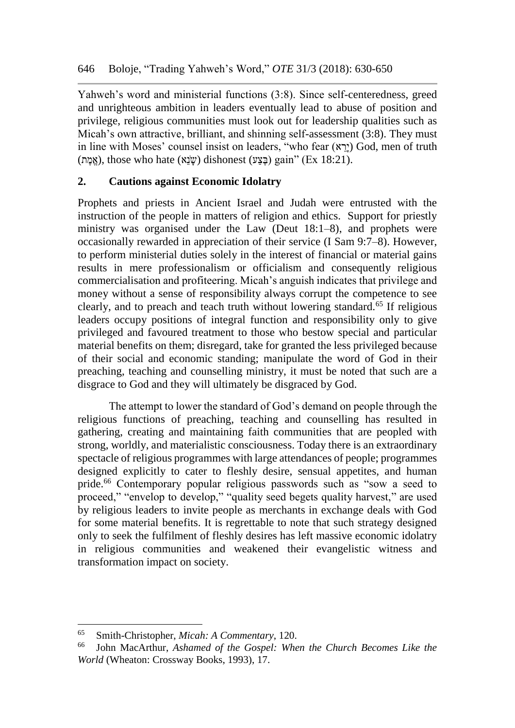Yahweh's word and ministerial functions (3:8). Since self-centeredness, greed and unrighteous ambition in leaders eventually lead to abuse of position and privilege, religious communities must look out for leadership qualities such as Micah's own attractive, brilliant, and shinning self-assessment (3:8). They must in line with Moses' counsel insist on leaders, "who fear (ירא) God, men of truth  $(21)$ . (אמת), those who hate  $(w\ddot{w})$  dishonest $(w\ddot{z})$  gain" (Ex 18:21).

## **2. Cautions against Economic Idolatry**

Prophets and priests in Ancient Israel and Judah were entrusted with the instruction of the people in matters of religion and ethics. Support for priestly ministry was organised under the Law (Deut 18:1–8), and prophets were occasionally rewarded in appreciation of their service (I Sam 9:7–8). However, to perform ministerial duties solely in the interest of financial or material gains results in mere professionalism or officialism and consequently religious commercialisation and profiteering. Micah's anguish indicates that privilege and money without a sense of responsibility always corrupt the competence to see clearly, and to preach and teach truth without lowering standard.<sup>65</sup> If religious leaders occupy positions of integral function and responsibility only to give privileged and favoured treatment to those who bestow special and particular material benefits on them; disregard, take for granted the less privileged because of their social and economic standing; manipulate the word of God in their preaching, teaching and counselling ministry, it must be noted that such are a disgrace to God and they will ultimately be disgraced by God.

The attempt to lower the standard of God's demand on people through the religious functions of preaching, teaching and counselling has resulted in gathering, creating and maintaining faith communities that are peopled with strong, worldly, and materialistic consciousness. Today there is an extraordinary spectacle of religious programmes with large attendances of people; programmes designed explicitly to cater to fleshly desire, sensual appetites, and human pride.<sup>66</sup> Contemporary popular religious passwords such as "sow a seed to proceed," "envelop to develop," "quality seed begets quality harvest," are used by religious leaders to invite people as merchants in exchange deals with God for some material benefits. It is regrettable to note that such strategy designed only to seek the fulfilment of fleshly desires has left massive economic idolatry in religious communities and weakened their evangelistic witness and transformation impact on society.

<sup>65</sup> Smith-Christopher, *Micah: A Commentary*, 120.

<sup>66</sup> John MacArthur, *Ashamed of the Gospel: When the Church Becomes Like the World* (Wheaton: Crossway Books, 1993), 17.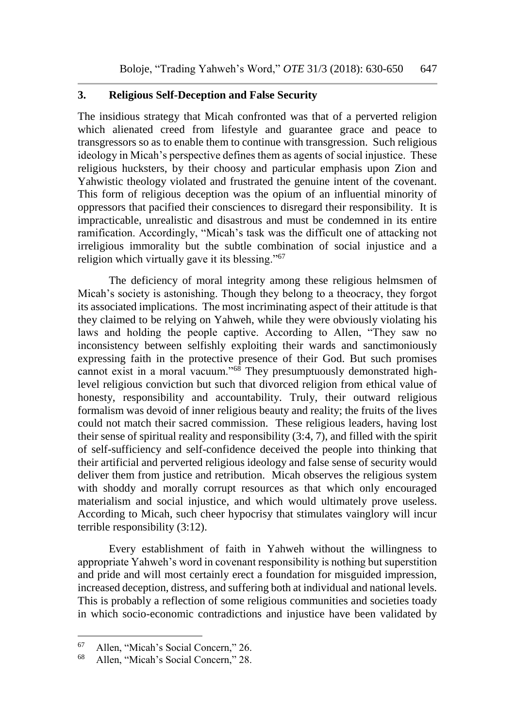#### **3. Religious Self-Deception and False Security**

The insidious strategy that Micah confronted was that of a perverted religion which alienated creed from lifestyle and guarantee grace and peace to transgressors so as to enable them to continue with transgression. Such religious ideology in Micah's perspective defines them as agents of social injustice. These religious hucksters, by their choosy and particular emphasis upon Zion and Yahwistic theology violated and frustrated the genuine intent of the covenant. This form of religious deception was the opium of an influential minority of oppressors that pacified their consciences to disregard their responsibility. It is impracticable, unrealistic and disastrous and must be condemned in its entire ramification. Accordingly, "Micah's task was the difficult one of attacking not irreligious immorality but the subtle combination of social injustice and a religion which virtually gave it its blessing."<sup>67</sup>

The deficiency of moral integrity among these religious helmsmen of Micah's society is astonishing. Though they belong to a theocracy, they forgot its associated implications. The most incriminating aspect of their attitude is that they claimed to be relying on Yahweh, while they were obviously violating his laws and holding the people captive. According to Allen, "They saw no inconsistency between selfishly exploiting their wards and sanctimoniously expressing faith in the protective presence of their God. But such promises cannot exist in a moral vacuum."<sup>68</sup> They presumptuously demonstrated highlevel religious conviction but such that divorced religion from ethical value of honesty, responsibility and accountability. Truly, their outward religious formalism was devoid of inner religious beauty and reality; the fruits of the lives could not match their sacred commission. These religious leaders, having lost their sense of spiritual reality and responsibility (3:4, 7), and filled with the spirit of self-sufficiency and self-confidence deceived the people into thinking that their artificial and perverted religious ideology and false sense of security would deliver them from justice and retribution. Micah observes the religious system with shoddy and morally corrupt resources as that which only encouraged materialism and social injustice, and which would ultimately prove useless. According to Micah, such cheer hypocrisy that stimulates vainglory will incur terrible responsibility (3:12).

Every establishment of faith in Yahweh without the willingness to appropriate Yahweh's word in covenant responsibility is nothing but superstition and pride and will most certainly erect a foundation for misguided impression, increased deception, distress, and suffering both at individual and national levels. This is probably a reflection of some religious communities and societies toady in which socio-economic contradictions and injustice have been validated by

<sup>&</sup>lt;sup>67</sup> Allen, "Micah's Social Concern," 26.<br><sup>68</sup> Allen, "Micah's Social Concern," 28.

<sup>68</sup> Allen, "Micah's Social Concern," 28.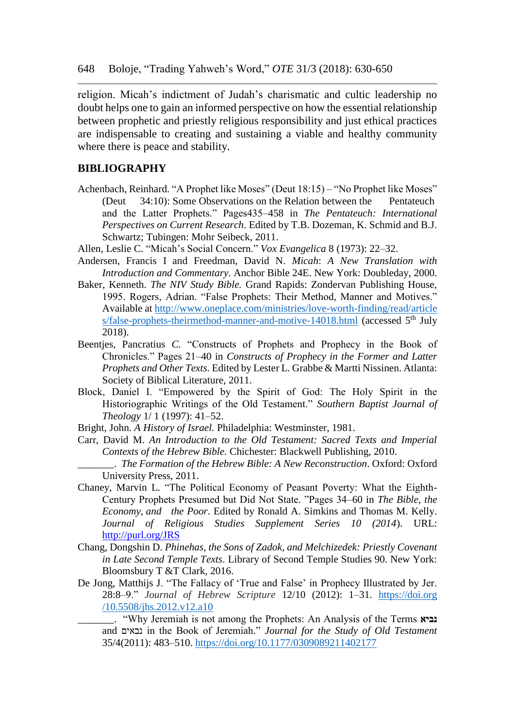religion. Micah's indictment of Judah's charismatic and cultic leadership no doubt helps one to gain an informed perspective on how the essential relationship between prophetic and priestly religious responsibility and just ethical practices are indispensable to creating and sustaining a viable and healthy community where there is peace and stability.

#### **BIBLIOGRAPHY**

- Achenbach, Reinhard. "A Prophet like Moses" (Deut 18:15) "No Prophet like Moses" (Deut 34:10): Some Observations on the Relation between the Pentateuch and the Latter Prophets." Pages435–458 in *The Pentateuch: International Perspectives on Current Research*. Edited by T.B. Dozeman, K. Schmid and B.J. Schwartz; Tubingen: Mohr Seibeck, 2011.
- Allen, Leslie C. "Micah's Social Concern." *Vox Evangelica* 8 (1973): 22–32.
- Andersen, Francis I and Freedman, David N. *Micah*: *A New Translation with Introduction and Commentary*. Anchor Bible 24E. New York: Doubleday, 2000.
- Baker, Kenneth. *The NIV Study Bible.* Grand Rapids: Zondervan Publishing House, 1995. Rogers, Adrian. "False Prophets: Their Method, Manner and Motives." Available at [http://www.oneplace.com/ministries/love-worth-finding/read/article](http://www.oneplace.com/ministries/love-worth-finding/read/article%20s/false-prophets-theirmethod-manner-and-motive-14018.html)  [s/false-prophets-theirmethod-manner-and-motive-14018.html](http://www.oneplace.com/ministries/love-worth-finding/read/article%20s/false-prophets-theirmethod-manner-and-motive-14018.html) (accessed  $5<sup>th</sup>$  July 2018).
- Beentjes, Pancratius *C.* "Constructs of Prophets and Prophecy in the Book of Chronicles." Pages 21–40 in *Constructs of Prophecy in the Former and Latter Prophets and Other Texts.* Edited by Lester L. Grabbe & Martti Nissinen. Atlanta: Society of Biblical Literature, 2011.
- Block, Daniel I. "Empowered by the Spirit of God: The Holy Spirit in the Historiographic Writings of the Old Testament." *Southern Baptist Journal of Theology* 1/ 1 (1997): 41–52.
- Bright, John. *A History of Israel.* Philadelphia: Westminster, 1981.
- Carr, David M. *An Introduction to the Old Testament: Sacred Texts and Imperial Contexts of the Hebrew Bible.* Chichester: Blackwell Publishing, 2010.
	- \_\_\_\_\_\_\_. *The Formation of the Hebrew Bible: A New Reconstruction*. Oxford: Oxford University Press, 2011.
- Chaney, Marvin L. "The Political Economy of Peasant Poverty: What the Eighth-Century Prophets Presumed but Did Not State. "Pages 34–60 in *The Bible, the Economy, and the Poor*. Edited by Ronald A. Simkins and Thomas M. Kelly. *Journal of Religious Studies Supplement Series 10 (2014*). URL: <http://purl.org/JRS>
- Chang*,* Dongshin D. *Phinehas, the Sons of Zadok, and Melchizedek: Priestly Covenant in Late Second Temple Texts*. Library of Second Temple Studies 90. New York: Bloomsbury T &T Clark, 2016.
- De Jong, Matthijs J. "The Fallacy of 'True and False' in Prophecy Illustrated by Jer. 28:8–9." *Journal of Hebrew Scripture* 12/10 (2012): 1–31. https://doi.org /10.5508/jhs.2012.v12.a10
	- \_\_\_\_\_\_\_. "Why Jeremiah is not among the Prophets: An Analysis of the Terms **נביא** and נבאים in the Book of Jeremiah." *Journal for the Study of Old Testament*  35/4(2011): 483–510. <https://doi.org/10.1177/0309089211402177>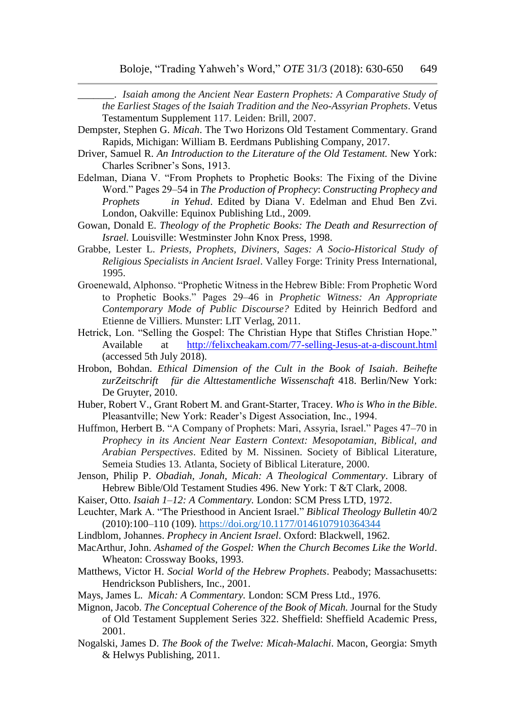\_\_\_\_\_\_\_. *Isaiah among the Ancient Near Eastern Prophets: A Comparative Study of the Earliest Stages of the Isaiah Tradition and the Neo-Assyrian Prophets*. Vetus Testamentum Supplement 117. Leiden: Brill, 2007.

- Dempster, Stephen G. *Micah*. The Two Horizons Old Testament Commentary. Grand Rapids, Michigan: William B. Eerdmans Publishing Company, 2017.
- Driver, Samuel R. *An Introduction to the Literature of the Old Testament.* New York: Charles Scribner's Sons, 1913.
- Edelman, Diana V. "From Prophets to Prophetic Books: The Fixing of the Divine Word." Pages 29–54 in *The Production of Prophecy*: *Constructing Prophecy and Prophets in Yehud*. Edited by Diana V. Edelman and Ehud Ben Zvi. London, Oakville: Equinox Publishing Ltd., 2009.
- Gowan, Donald E. *Theology of the Prophetic Books: The Death and Resurrection of Israel.* Louisville: Westminster John Knox Press, 1998.
- Grabbe, Lester L. *Priests, Prophets, Diviners, Sages: A Socio-Historical Study of Religious Specialists in Ancient Israel*. Valley Forge: Trinity Press International, 1995.
- Groenewald, Alphonso. "Prophetic Witness in the Hebrew Bible: From Prophetic Word to Prophetic Books." Pages 29–46 in *Prophetic Witness: An Appropriate Contemporary Mode of Public Discourse?* Edited by Heinrich Bedford and Etienne de Villiers. Munster: LIT Verlag, 2011.
- Hetrick, Lon. "Selling the Gospel: The Christian Hype that Stifles Christian Hope." Available at <http://felixcheakam.com/77-selling-Jesus-at-a-discount.html> (accessed 5th July 2018).
- Hrobon, Bohdan. *Ethical Dimension of the Cult in the Book of Isaiah*. *Beihefte zurZeitschrift für die Alttestamentliche Wissenschaft* 418. Berlin/New York: De Gruyter, 2010.
- Huber, Robert V., Grant Robert M. and Grant-Starter, Tracey. *Who is Who in the Bible*. Pleasantville; New York: Reader's Digest Association, Inc., 1994.
- Huffmon, Herbert B. "A Company of Prophets: Mari, Assyria, Israel." Pages 47–70 in *Prophecy in its Ancient Near Eastern Context: Mesopotamian, Biblical, and Arabian Perspectives*. Edited by M. Nissinen. Society of Biblical Literature, Semeia Studies 13. Atlanta, Society of Biblical Literature, 2000.
- Jenson, Philip P. *Obadiah, Jonah, Micah: A Theological Commentary*. Library of Hebrew Bible/Old Testament Studies 496. New York: T &T Clark, 2008.
- Kaiser, Otto. *Isaiah 1*–*12: A Commentary.* London: SCM Press LTD, 1972.
- Leuchter, Mark A. "The Priesthood in Ancient Israel." *Biblical Theology Bulletin* 40/2 (2010):100–110 (109).<https://doi.org/10.1177/0146107910364344>
- Lindblom, Johannes. *Prophecy in Ancient Israel*. Oxford: Blackwell, 1962.
- MacArthur, John. *Ashamed of the Gospel: When the Church Becomes Like the World*. Wheaton: Crossway Books, 1993.
- Matthews, Victor H. *Social World of the Hebrew Prophets*. Peabody; Massachusetts: Hendrickson Publishers, Inc., 2001.
- Mays, James L. *Micah: A Commentary.* London: SCM Press Ltd., 1976.
- Mignon, Jacob. *The Conceptual Coherence of the Book of Micah.* Journal for the Study of Old Testament Supplement Series 322. Sheffield: Sheffield Academic Press, 2001.
- Nogalski, James D. *The Book of the Twelve: Micah-Malachi*. Macon, Georgia: Smyth & Helwys Publishing, 2011.